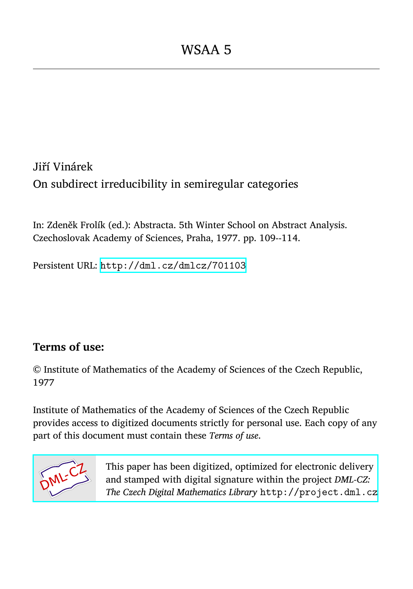Jiří Vinárek On subdirect irreducibility in semiregular categories

In: Zdeněk Frolík (ed.): Abstracta. 5th Winter School on Abstract Analysis. Czechoslovak Academy of Sciences, Praha, 1977. pp. 109--114.

Persistent URL: <http://dml.cz/dmlcz/701103>

## **Terms of use:**

© Institute of Mathematics of the Academy of Sciences of the Czech Republic, 1977

Institute of Mathematics of the Academy of Sciences of the Czech Republic provides access to digitized documents strictly for personal use. Each copy of any part of this document must contain these *Terms of use*.



[This paper has been digitized, optimized for electronic delivery](http://project.dml.cz) and stamped with digital signature within the project *DML-CZ: The Czech Digital Mathematics Library* http://project.dml.cz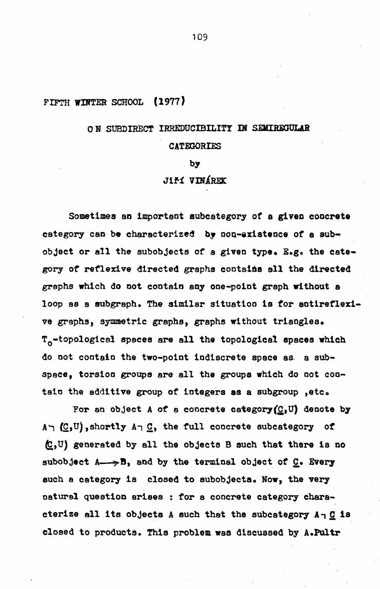#### $(1977)$ FIFTH WINTER SCHOOL

# ON SURDIRECT IRREDUCIBILITY IN SEMIREGULAR **CATEGORIES**

#### by

### Jiří VINÁREK

Sometimes an important subcategory of a given concrete category can be characterized by non-existence of a subobject or all the subobjects of a given type. E.g. the category of reflexive directed graphs contains all the directed grephs which do not contain any one-point graph without a loop as a subgraph. The similar situation is for antireflexive graphs, symmetric graphs, graphs without triangles. T<sub>o</sub>-topological spaces are all the topological spaces which do not contain the two-point indiscrete space as a subspace, torsion groups are all the groups which do not contain the additive group of integers as a subgroup , etc.

For an object A of a concrete category  $(\subseteq, U)$  denote by  $A \cap (C, U)$ , shortly  $A \cap C$ , the full concrete subcategory of  $(C, U)$  generated by all the objects B such that there is no subobject  $A \rightarrow B$ , and by the terminal object of  $C$ . Every such a category is closed to subobjects. Now, the very natural question arises : for a concrete category characterize all its objects A such that the subcategory  $A \eta \underline{C}$  is closed to products. This problem was discussed by A.Pultr

109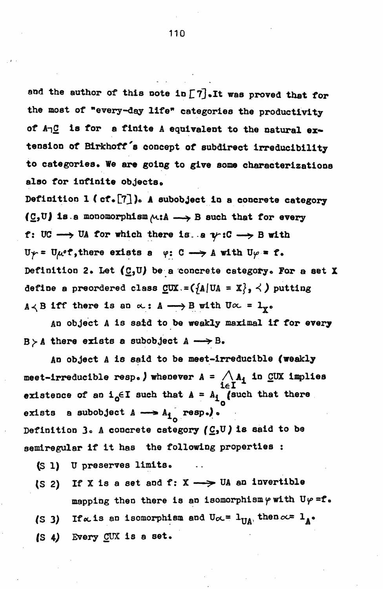and the author of this note in  $\lceil 7 \rceil$ . It was proved that for the most of "every-day life" categories the productivity of A<sub>1</sub>C is for a finite A equivalent to the natural extension of Birkhoff's concept of subdirect irreducibility to categories. We are going to give some characterizations also for infinite objects.

Definition 1 (cf.[7]). A subobject in a concrete category  $(\underline{c},\underline{v})$  is a monomorphism  $\wedge :A \longrightarrow B$  such that for every f: UC  $\longrightarrow$  UA for which there is. a  $\psi$ : C  $\longrightarrow$  B with  $U_{\gamma} = U_{\mu} e f$ , there exists a  $\varphi: C \longrightarrow A$  with  $U_{\gamma} = f$ . Definition 2. Let  $(\underline{C},\mathbb{U})$  be a concrete category. For a set X define a preordered class  $\text{CUX} = (\{A | UA = X\}, \prec)$  putting  $A \prec B$  iff there is an  $\alpha: A \longrightarrow B$  with  $U\alpha = 1$ <sub>y</sub>.

An object A is said to be weakly maximal if for every  $B > A$  there exists a subobject  $A \longrightarrow B$ .

An object A is said to be meet-irreducible (weakly meet-irreducible resp.) whenever  $A = \bigwedge_{i \in I} A_i$  in CUX implies existence of an  $i_0 \in I$  such that  $A = A_i$  (such that there a subobject  $A \longrightarrow A_{1}$  resp.). exists Definition 3. A concrete category ( $C_2$ U) is said to be semiregular if it has the following properties :

- (S 1) U preserves limits.
- If X is a set and f:  $X \longrightarrow U$ A an invertible  $(S<sub>2</sub>)$ mapping then there is an isomorphism  $\varphi$  with U $\varphi = f$ .
- (S 3) If a is an isomorphism and  $U_{\infty} = 1_{\Pi A}$ , then  $\infty = 1_{A}$ .
- (S 4) Every CUX is a set.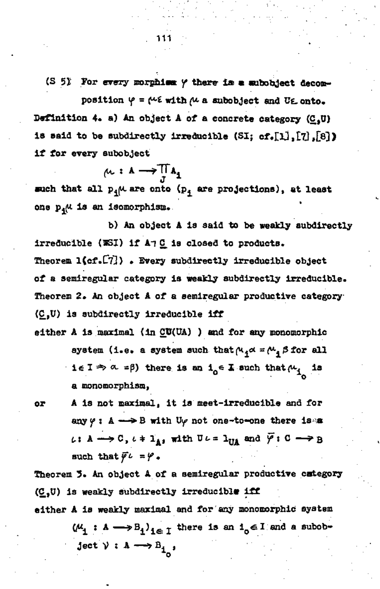**(S 51 For every morphim** *f* **therw** *im m* **aubobjeet decomposition**  $\varphi = \varphi \in \mathbf{w}$  **with**  $\varphi$  **a subobject and UE onto. Definition 4# a) An object A of a concrete category (CtU)**  is said to be subdirectly irreducible (SI; cf.[1],[7],[8]) **if for every subobject** 

$$
\mu: A \longrightarrow \prod_{J} A_{\underline{1}}
$$

such that all  $p_{\phi} \mu$  are onto  $(p_{\phi})$  are projections), at least **one** *p\*(\** **is an isomorpnism\*** 

**b) An object A is said to be weakly subdirectly**  irreducible (WSI) if A7 C is closed to products. **Theorem l{cf»C7]) • Every subdirectly irreducible object of a semiregular category is weakly subdirectly irreducible. Theorem 2. An object A of a semiregular produetive category (C,U) is subdirectly irreducible iff** 

- either A is maximal (in CU(UA) ) and for any monomorphic system (i.e. a system such that  $\mu_4 \propto$  =  $\mu_4 \beta$  for all **i** $\epsilon$  **I**  $\Rightarrow$   $\alpha$  = $\beta$ ) there is an i<sub> $\alpha$ </sub> E such that  $\mu$ <sub>i</sub> is **o a monomorphism,**
- **or A is not maximal, it is meet-irreducible and for any**  $\varphi$  **:** A  $\longrightarrow$  **B** with U<sub> $\varphi$ </sub> not one-to-one there is a  $\iota: A \longrightarrow C$ ,  $\iota \cdot \mathbf{1}_{A}$ , with  $U \iota = 1_{UA}$  and  $\overline{Y}: C \longrightarrow B$ such that  $\vec{r}$  *i* =  $\varphi$ .

**Theorem 3» An object A of a semiregular produetive category (C,U) is weakly subdirectly irreducibl\* iff either A is weakly maximal and for any monomorphic systém**   $(\mu_1 : A \longrightarrow B_i)_{i \in I}$  there is an  $i_0 \in I$  and a subob- $\text{ject } \mathcal{V} : A \longrightarrow B_{i}$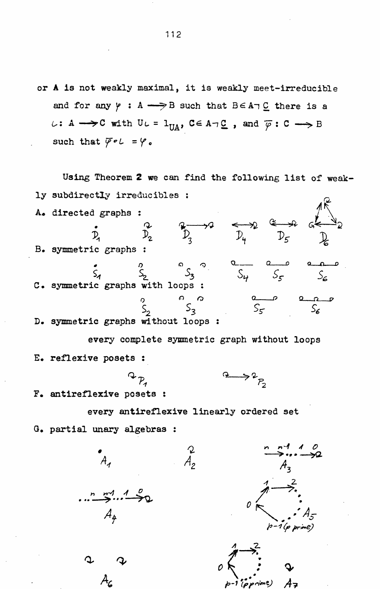or A is not weakly maximal, it is weakly meet-irreducible and for any  $\gamma : A \longrightarrow B$  such that  $B \in A \cap C$  there is a  $\iota: A \longrightarrow C$  with  $U \iota = 1_{U A}$ ,  $C \in A \cap C$ , and  $\overline{\varphi}: C \longrightarrow B$ such that  $\overline{\varphi} \circ L = \varphi$ .

Using Theorem 2 we can find the following list of weakly subdirectly irreducibles : A. directed graphs :  $\overrightarrow{p}_{3}$   $\overrightarrow{p}_{4}$   $\overrightarrow{p}_{5}$  $\stackrel{\curvearrowright}{\mathcal{D}_2}$ D. B. symmetric graphs :  $S_2$   $S_3$   $S_4$   $S_5$ C. symmetric graphs with loops :  $S_{5}$ D. symmetric graphs without loops :

every complete symmetric graph without loops E. reflexive posets :

 $2 \rightarrow 2 \rightarrow 2$ 

F. antireflexive posets :

every antireflexive linearly ordered set

 $\overset{\text{2}}{\mathcal{A}_{2}}$ 

G. partial unary algebras :

 $\frac{n}{2}$  =  $\frac{n}{2}$  =  $\frac{n}{2}$  =  $\frac{n}{2}$  =  $\frac{n}{2}$  =  $\frac{n}{2}$  =  $\frac{n}{2}$  =  $\frac{n}{2}$  =  $\frac{n}{2}$  =  $\frac{n}{2}$  =  $\frac{n}{2}$  =  $\frac{n}{2}$  =  $\frac{n}{2}$  =  $\frac{n}{2}$  =  $\frac{n}{2}$  =  $\frac{n}{2}$  =  $\frac{n}{2}$  =  $\frac{n}{2}$  =  $\frac{n}{2}$  =  $\frac{n}{2}$  =

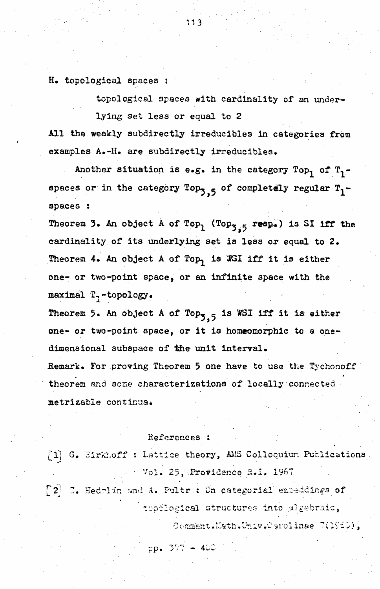H. topological spaces :

topological spaces with cardinality of an underlying set less or equal to 2

All the weakly subdirectly irreducibles in categories from examples A.-H. are subdirectly irreducibles.

Another situation is e.g. in the category Top, of  $T_1$ spaces or in the category Top<sub>3.5</sub> of completely regular  $T_1$ spaces :

Theorem 3. An object A of Top<sub>1</sub> (Top<sub>3.5</sub> resp.) is SI iff the cardinality of its underlying set is less or equal to 2. Theorem 4. An object A of Top, is WSI iff it is either one- or two-point space, or an infinite space with the maximal  $T_7$ -topology.

Theorem 5. An object A of Top<sub>3.5</sub> is WSI iff it is either one- or two-point space, or it is homeomorphic to a onedimensional subspace of the unit interval.

Remark. For proving Theorem 5 one have to use the Tychonoff theorem and some characterizations of locally connected metrizable continua.

#### References :

[1] G. Birkhoff : Lattice theory, AMS Colloquium Publications Vol. 25, Providence R.I. 1967 [2] C. Hedrlin and A. Pultr : On categorial empeddings of topological structures into algebraic, Comment.Math.Univ.Carolinse 7(1960),

 $pp = 377 - 400$